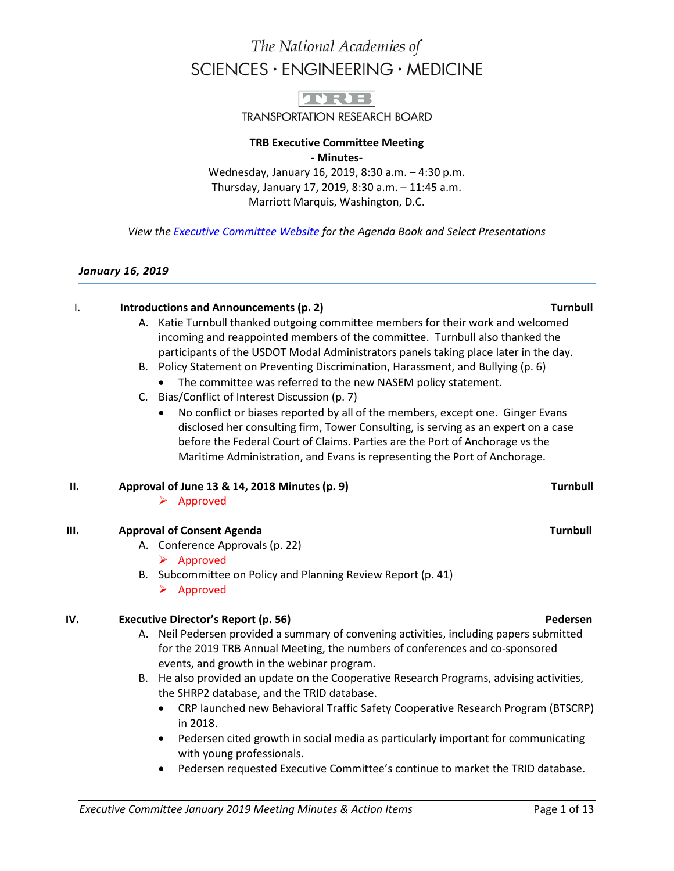

**TRANSPORTATION RESEARCH BOARD** 

#### **TRB Executive Committee Meeting - Minutes-**

Wednesday, January 16, 2019, 8:30 a.m. – 4:30 p.m. Thursday, January 17, 2019, 8:30 a.m. – 11:45 a.m. Marriott Marquis, Washington, D.C.

*View th[e Executive Committee Website](http://www.trb.org/Main/TRBExecutiveCommitteeMinutes.aspx) for the Agenda Book and Select Presentations*

#### *January 16, 2019*

#### I. **Introductions and Announcements (p. 2) Turnbull**

- A. Katie Turnbull thanked outgoing committee members for their work and welcomed incoming and reappointed members of the committee. Turnbull also thanked the participants of the USDOT Modal Administrators panels taking place later in the day.
- B. Policy Statement on Preventing Discrimination, Harassment, and Bullying (p. 6)
	- The committee was referred to the new NASEM policy statement.
- C. Bias/Conflict of Interest Discussion (p. 7)
	- No conflict or biases reported by all of the members, except one. Ginger Evans disclosed her consulting firm, Tower Consulting, is serving as an expert on a case before the Federal Court of Claims. Parties are the Port of Anchorage vs the Maritime Administration, and Evans is representing the Port of Anchorage.

#### **II. Approval of June 13 & 14, 2018 Minutes (p. 9) Turnbull**

 $\triangleright$  Approved

#### **III. Approval of Consent Agenda Turnbull**

- A. Conference Approvals (p. 22)
	- $\triangleright$  Approved
- B. Subcommittee on Policy and Planning Review Report (p. 41)  $\triangleright$  Approved

#### **IV. Executive Director's Report (p. 56) Pedersen Pedersen**

- A. Neil Pedersen provided a summary of convening activities, including papers submitted for the 2019 TRB Annual Meeting, the numbers of conferences and co-sponsored events, and growth in the webinar program.
- B. He also provided an update on the Cooperative Research Programs, advising activities, the SHRP2 database, and the TRID database.
	- CRP launched new Behavioral Traffic Safety Cooperative Research Program (BTSCRP) in 2018.
	- Pedersen cited growth in social media as particularly important for communicating with young professionals.
	- Pedersen requested Executive Committee's continue to market the TRID database.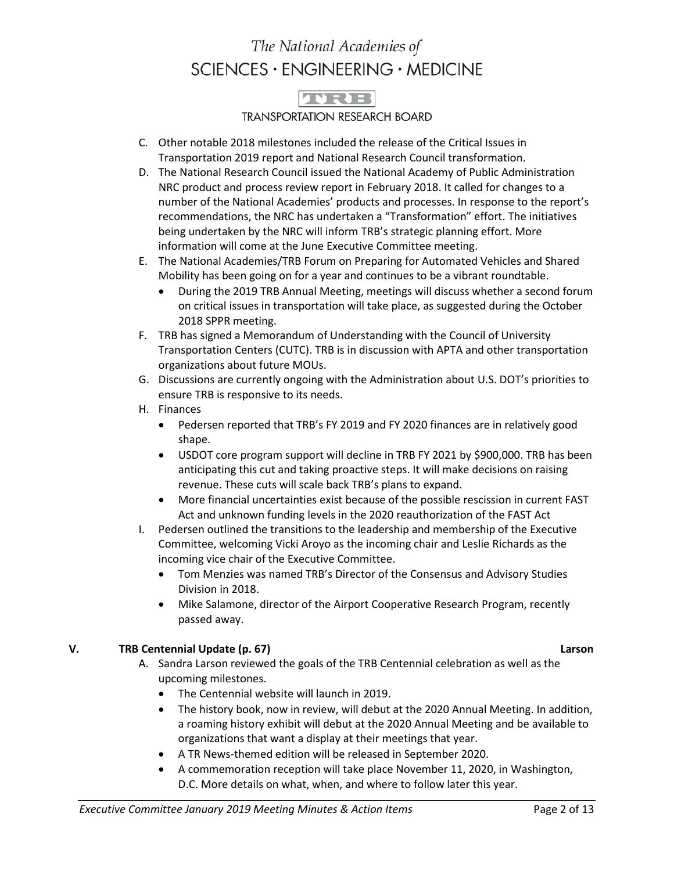## TVRE

### **TRANSPORTATION RESEARCH BOARD**

- C. Other notable 2018 milestones included the release of the Critical Issues in Transportation 2019 report and National Research Council transformation.
- D. The National Research Council issued the National Academy of Public Administration NRC product and process review report in February 2018. It called for changes to a number of the National Academies' products and processes. In response to the report's recommendations, the NRC has undertaken a "Transformation" effort. The initiatives being undertaken by the NRC will inform TRB's strategic planning effort. More information will come at the June Executive Committee meeting.
- E. The National Academies/TRB Forum on Preparing for Automated Vehicles and Shared Mobility has been going on for a year and continues to be a vibrant roundtable.
	- During the 2019 TRB Annual Meeting, meetings will discuss whether a second forum on critical issues in transportation will take place, as suggested during the October 2018 SPPR meeting.
- F. TRB has signed a Memorandum of Understanding with the Council of University Transportation Centers (CUTC). TRB is in discussion with APTA and other transportation organizations about future MOUs.
- G. Discussions are currently ongoing with the Administration about U.S. DOT's priorities to ensure TRB is responsive to its needs.
- H. Finances
	- Pedersen reported that TRB's FY 2019 and FY 2020 finances are in relatively good shape.
	- USDOT core program support will decline in TRB FY 2021 by \$900,000. TRB has been anticipating this cut and taking proactive steps. It will make decisions on raising revenue. These cuts will scale back TRB's plans to expand.
	- More financial uncertainties exist because of the possible rescission in current FAST Act and unknown funding levels in the 2020 reauthorization of the FAST Act
- I. Pedersen outlined the transitions to the leadership and membership of the Executive Committee, welcoming Vicki Aroyo as the incoming chair and Leslie Richards as the incoming vice chair of the Executive Committee.
	- Tom Menzies was named TRB's Director of the Consensus and Advisory Studies Division in 2018.
	- Mike Salamone, director of the Airport Cooperative Research Program, recently passed away.

### **V. TRB Centennial Update (p. 67) Larson**

- A. Sandra Larson reviewed the goals of the TRB Centennial celebration as well as the upcoming milestones.
	- The Centennial website will launch in 2019.
	- The history book, now in review, will debut at the 2020 Annual Meeting. In addition, a roaming history exhibit will debut at the 2020 Annual Meeting and be available to organizations that want a display at their meetings that year.
	- A TR News-themed edition will be released in September 2020.
	- A commemoration reception will take place November 11, 2020, in Washington, D.C. More details on what, when, and where to follow later this year.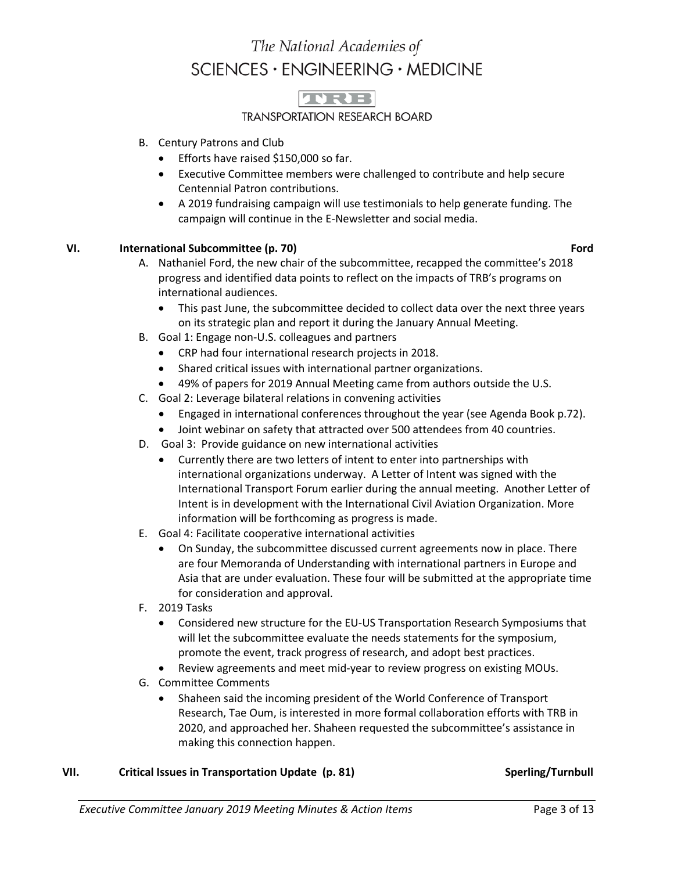

### **TRANSPORTATION RESEARCH BOARD**

- B. Century Patrons and Club
	- Efforts have raised \$150,000 so far.
	- Executive Committee members were challenged to contribute and help secure Centennial Patron contributions.
	- A 2019 fundraising campaign will use testimonials to help generate funding. The campaign will continue in the E-Newsletter and social media.

#### **VI. International Subcommittee (p. 70) Example 2 and Subset Control of the Second Subset Control of the Second Subset Control of the Second Subset Control of the Second Subset Control of the Second Subset Control of t**

- 
- A. Nathaniel Ford, the new chair of the subcommittee, recapped the committee's 2018 progress and identified data points to reflect on the impacts of TRB's programs on international audiences.
	- This past June, the subcommittee decided to collect data over the next three years on its strategic plan and report it during the January Annual Meeting.
- B. Goal 1: Engage non-U.S. colleagues and partners
	- CRP had four international research projects in 2018.
	- Shared critical issues with international partner organizations.
	- 49% of papers for 2019 Annual Meeting came from authors outside the U.S.
- C. Goal 2: Leverage bilateral relations in convening activities
	- Engaged in international conferences throughout the year (see Agenda Book p.72).
	- Joint webinar on safety that attracted over 500 attendees from 40 countries.
- D. Goal 3: Provide guidance on new international activities
	- Currently there are two letters of intent to enter into partnerships with international organizations underway. A Letter of Intent was signed with the International Transport Forum earlier during the annual meeting. Another Letter of Intent is in development with the International Civil Aviation Organization. More information will be forthcoming as progress is made.
- E. Goal 4: Facilitate cooperative international activities
	- On Sunday, the subcommittee discussed current agreements now in place. There are four Memoranda of Understanding with international partners in Europe and Asia that are under evaluation. These four will be submitted at the appropriate time for consideration and approval.
- F. 2019 Tasks
	- Considered new structure for the EU-US Transportation Research Symposiums that will let the subcommittee evaluate the needs statements for the symposium, promote the event, track progress of research, and adopt best practices.
	- Review agreements and meet mid-year to review progress on existing MOUs.
- G. Committee Comments
	- Shaheen said the incoming president of the World Conference of Transport Research, Tae Oum, is interested in more formal collaboration efforts with TRB in 2020, and approached her. Shaheen requested the subcommittee's assistance in making this connection happen.

#### **VII. Critical Issues in Transportation Update (p. 81) Sperling/Turnbull**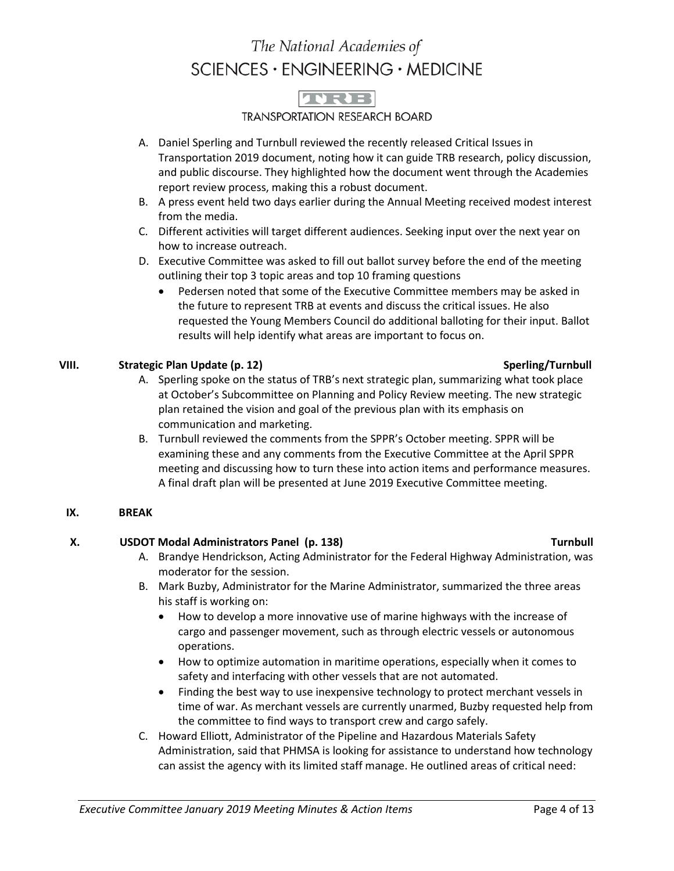## **JURE**

### **TRANSPORTATION RESEARCH BOARD**

- A. Daniel Sperling and Turnbull reviewed the recently released Critical Issues in Transportation 2019 document, noting how it can guide TRB research, policy discussion, and public discourse. They highlighted how the document went through the Academies report review process, making this a robust document.
- B. A press event held two days earlier during the Annual Meeting received modest interest from the media.
- C. Different activities will target different audiences. Seeking input over the next year on how to increase outreach.
- D. Executive Committee was asked to fill out ballot survey before the end of the meeting outlining their top 3 topic areas and top 10 framing questions
	- Pedersen noted that some of the Executive Committee members may be asked in the future to represent TRB at events and discuss the critical issues. He also requested the Young Members Council do additional balloting for their input. Ballot results will help identify what areas are important to focus on.

### **VIII. Strategic Plan Update (p. 12) Sperling/Turnbull**

- A. Sperling spoke on the status of TRB's next strategic plan, summarizing what took place at October's Subcommittee on Planning and Policy Review meeting. The new strategic plan retained the vision and goal of the previous plan with its emphasis on communication and marketing.
- B. Turnbull reviewed the comments from the SPPR's October meeting. SPPR will be examining these and any comments from the Executive Committee at the April SPPR meeting and discussing how to turn these into action items and performance measures. A final draft plan will be presented at June 2019 Executive Committee meeting.

#### **IX. BREAK**

### **X. USDOT Modal Administrators Panel (p. 138) Turnbull**

- A. Brandye Hendrickson, Acting Administrator for the Federal Highway Administration, was moderator for the session.
- B. Mark Buzby, Administrator for the Marine Administrator, summarized the three areas his staff is working on:
	- How to develop a more innovative use of marine highways with the increase of cargo and passenger movement, such as through electric vessels or autonomous operations.
	- How to optimize automation in maritime operations, especially when it comes to safety and interfacing with other vessels that are not automated.
	- Finding the best way to use inexpensive technology to protect merchant vessels in time of war. As merchant vessels are currently unarmed, Buzby requested help from the committee to find ways to transport crew and cargo safely.
- C. Howard Elliott, Administrator of the Pipeline and Hazardous Materials Safety Administration, said that PHMSA is looking for assistance to understand how technology can assist the agency with its limited staff manage. He outlined areas of critical need: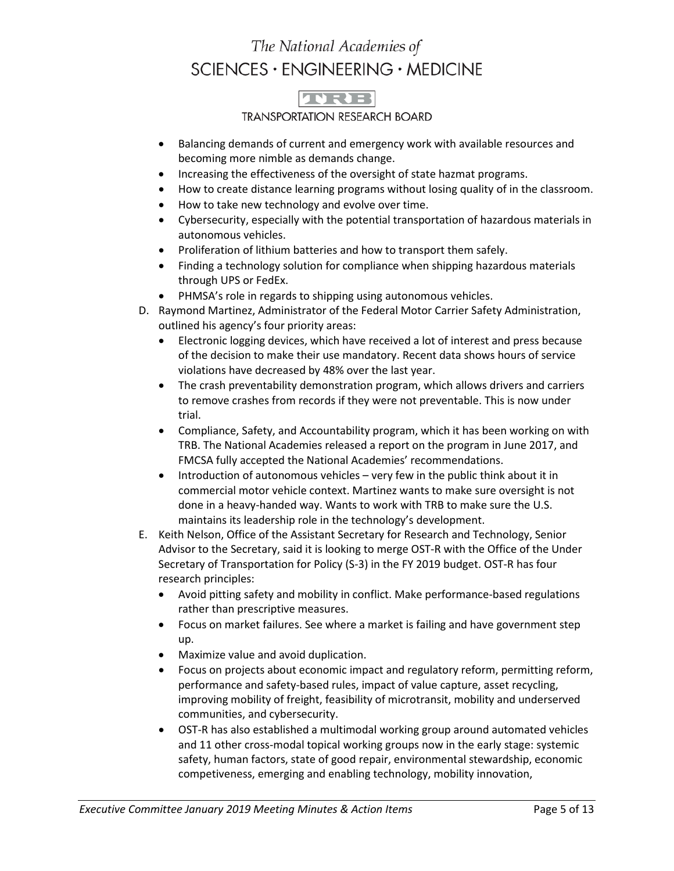## TVRE

### **TRANSPORTATION RESEARCH BOARD**

- Balancing demands of current and emergency work with available resources and becoming more nimble as demands change.
- Increasing the effectiveness of the oversight of state hazmat programs.
- How to create distance learning programs without losing quality of in the classroom.
- How to take new technology and evolve over time.
- Cybersecurity, especially with the potential transportation of hazardous materials in autonomous vehicles.
- Proliferation of lithium batteries and how to transport them safely.
- Finding a technology solution for compliance when shipping hazardous materials through UPS or FedEx.
- PHMSA's role in regards to shipping using autonomous vehicles.
- D. Raymond Martinez, Administrator of the Federal Motor Carrier Safety Administration, outlined his agency's four priority areas:
	- Electronic logging devices, which have received a lot of interest and press because of the decision to make their use mandatory. Recent data shows hours of service violations have decreased by 48% over the last year.
	- The crash preventability demonstration program, which allows drivers and carriers to remove crashes from records if they were not preventable. This is now under trial.
	- Compliance, Safety, and Accountability program, which it has been working on with TRB. The National Academies released a report on the program in June 2017, and FMCSA fully accepted the National Academies' recommendations.
	- Introduction of autonomous vehicles very few in the public think about it in commercial motor vehicle context. Martinez wants to make sure oversight is not done in a heavy-handed way. Wants to work with TRB to make sure the U.S. maintains its leadership role in the technology's development.
- E. Keith Nelson, Office of the Assistant Secretary for Research and Technology, Senior Advisor to the Secretary, said it is looking to merge OST-R with the Office of the Under Secretary of Transportation for Policy (S-3) in the FY 2019 budget. OST-R has four research principles:
	- Avoid pitting safety and mobility in conflict. Make performance-based regulations rather than prescriptive measures.
	- Focus on market failures. See where a market is failing and have government step up.
	- Maximize value and avoid duplication.
	- Focus on projects about economic impact and regulatory reform, permitting reform, performance and safety-based rules, impact of value capture, asset recycling, improving mobility of freight, feasibility of microtransit, mobility and underserved communities, and cybersecurity.
	- OST-R has also established a multimodal working group around automated vehicles and 11 other cross-modal topical working groups now in the early stage: systemic safety, human factors, state of good repair, environmental stewardship, economic competiveness, emerging and enabling technology, mobility innovation,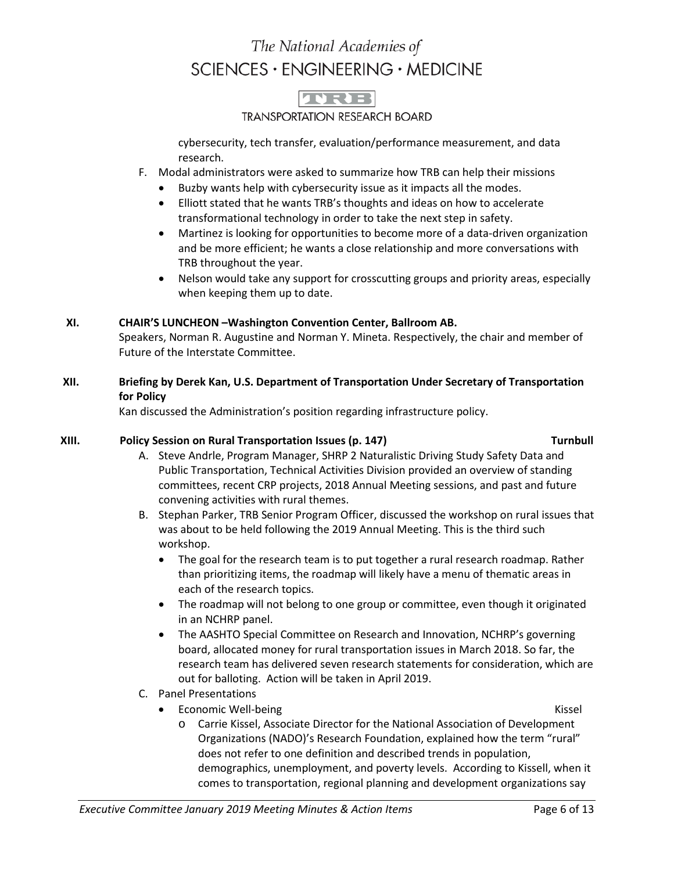

#### **TRANSPORTATION RESEARCH BOARD**

cybersecurity, tech transfer, evaluation/performance measurement, and data research.

- F. Modal administrators were asked to summarize how TRB can help their missions
	- Buzby wants help with cybersecurity issue as it impacts all the modes.
	- Elliott stated that he wants TRB's thoughts and ideas on how to accelerate transformational technology in order to take the next step in safety.
	- Martinez is looking for opportunities to become more of a data-driven organization and be more efficient; he wants a close relationship and more conversations with TRB throughout the year.
	- Nelson would take any support for crosscutting groups and priority areas, especially when keeping them up to date.

### **XI. CHAIR'S LUNCHEON –Washington Convention Center, Ballroom AB.**

Speakers, Norman R. Augustine and Norman Y. Mineta. Respectively, the chair and member of Future of the Interstate Committee.

### **XII. Briefing by Derek Kan, U.S. Department of Transportation Under Secretary of Transportation for Policy**

Kan discussed the Administration's position regarding infrastructure policy.

#### **XIII. Policy Session on Rural Transportation Issues (p. 147) Turnbull**

- A. Steve Andrle, Program Manager, SHRP 2 Naturalistic Driving Study Safety Data and Public Transportation, Technical Activities Division provided an overview of standing committees, recent CRP projects, 2018 Annual Meeting sessions, and past and future convening activities with rural themes.
- B. Stephan Parker, TRB Senior Program Officer, discussed the workshop on rural issues that was about to be held following the 2019 Annual Meeting. This is the third such workshop.
	- The goal for the research team is to put together a rural research roadmap. Rather than prioritizing items, the roadmap will likely have a menu of thematic areas in each of the research topics.
	- The roadmap will not belong to one group or committee, even though it originated in an NCHRP panel.
	- The AASHTO Special Committee on Research and Innovation, NCHRP's governing board, allocated money for rural transportation issues in March 2018. So far, the research team has delivered seven research statements for consideration, which are out for balloting. Action will be taken in April 2019.
- C. Panel Presentations
	- **Economic Well-being Community Community Community Community Community Community Community Community Community** Community Community Community Community Community Community Community Community Community Community Community
		-
		- o Carrie Kissel, Associate Director for the National Association of Development Organizations (NADO)'s Research Foundation, explained how the term "rural" does not refer to one definition and described trends in population, demographics, unemployment, and poverty levels. According to Kissell, when it comes to transportation, regional planning and development organizations say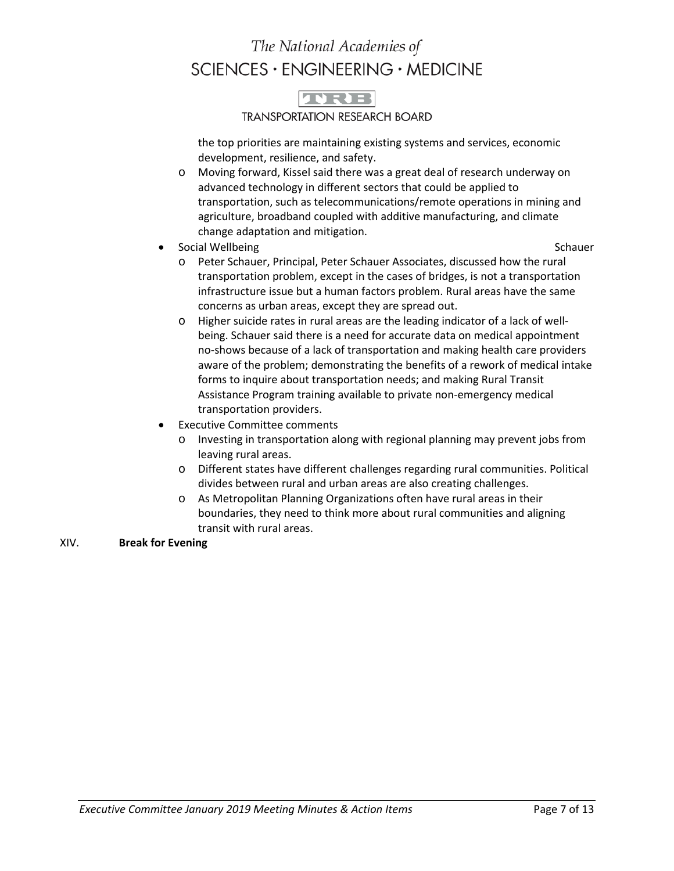# **ADRIE**

#### **TRANSPORTATION RESEARCH BOARD**

the top priorities are maintaining existing systems and services, economic development, resilience, and safety.

- o Moving forward, Kissel said there was a great deal of research underway on advanced technology in different sectors that could be applied to transportation, such as telecommunications/remote operations in mining and agriculture, broadband coupled with additive manufacturing, and climate change adaptation and mitigation.
- Social Wellbeing Schauer Schauer Schauer Schauer Schauer Schauer Schauer Schauer Schauer Schauer Schauer Schauer Schauer Schauer Schauer Schauer Schauer Schauer Schauer Schauer Schauer Schauer Schauer Schauer Schauer Sch

- o Peter Schauer, Principal, Peter Schauer Associates, discussed how the rural transportation problem, except in the cases of bridges, is not a transportation infrastructure issue but a human factors problem. Rural areas have the same concerns as urban areas, except they are spread out.
- o Higher suicide rates in rural areas are the leading indicator of a lack of wellbeing. Schauer said there is a need for accurate data on medical appointment no-shows because of a lack of transportation and making health care providers aware of the problem; demonstrating the benefits of a rework of medical intake forms to inquire about transportation needs; and making Rural Transit Assistance Program training available to private non-emergency medical transportation providers.
- **Executive Committee comments** 
	- o Investing in transportation along with regional planning may prevent jobs from leaving rural areas.
	- o Different states have different challenges regarding rural communities. Political divides between rural and urban areas are also creating challenges.
	- o As Metropolitan Planning Organizations often have rural areas in their boundaries, they need to think more about rural communities and aligning transit with rural areas.

#### XIV. **Break for Evening**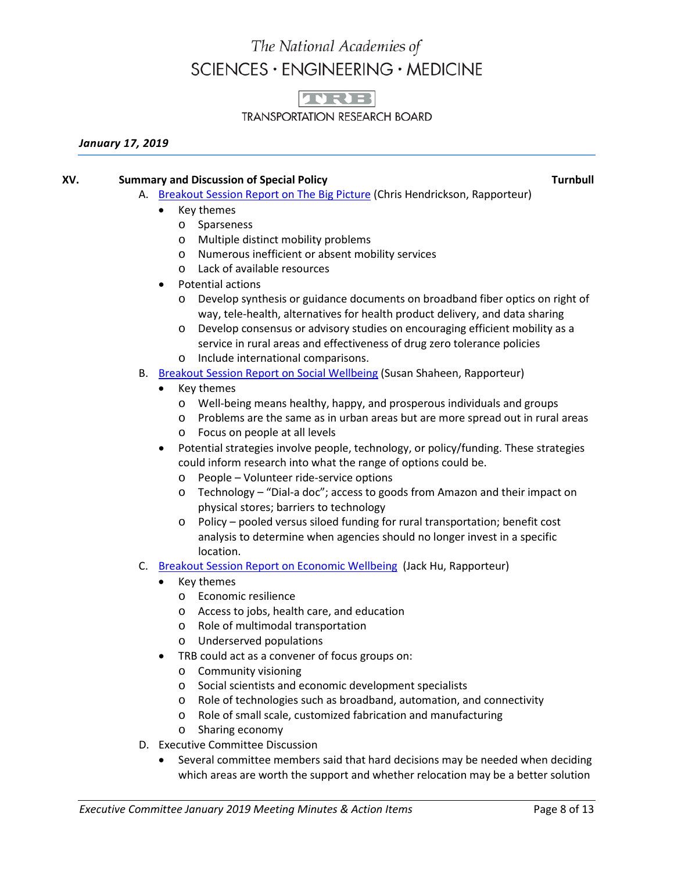

**TRANSPORTATION RESEARCH BOARD** 

#### *January 17, 2019*

#### **XV.** Summary and Discussion of Special Policy Turnbull and Turnbull and Turnbull

- A. [Breakout Session Report on The Big Picture](http://onlinepubs.trb.org/onlinepubs/ExComm/19-01-Hendrickson.pdf) (Chris Hendrickson, Rapporteur)
	- Key themes
		- o Sparseness
		- o Multiple distinct mobility problems
		- o Numerous inefficient or absent mobility services
		- o Lack of available resources
	- Potential actions
		- o Develop synthesis or guidance documents on broadband fiber optics on right of way, tele-health, alternatives for health product delivery, and data sharing
		- o Develop consensus or advisory studies on encouraging efficient mobility as a service in rural areas and effectiveness of drug zero tolerance policies
		- o Include international comparisons.
- B. [Breakout Session Report on Social Wellbeing](http://onlinepubs.trb.org/onlinepubs/ExComm/19-01-Shaheen.pdf) (Susan Shaheen, Rapporteur)
	- Key themes
		- o Well-being means healthy, happy, and prosperous individuals and groups
		- o Problems are the same as in urban areas but are more spread out in rural areas
		- o Focus on people at all levels
	- Potential strategies involve people, technology, or policy/funding. These strategies could inform research into what the range of options could be.
		- o People Volunteer ride-service options
		- o Technology "Dial-a doc"; access to goods from Amazon and their impact on physical stores; barriers to technology
		- o Policy pooled versus siloed funding for rural transportation; benefit cost analysis to determine when agencies should no longer invest in a specific location.
- C. [Breakout Session Report on Economic Wellbeing](http://onlinepubs.trb.org/onlinepubs/ExComm/19-01-Hu.pdf) (Jack Hu, Rapporteur)
	- Key themes
		- o Economic resilience
		- o Access to jobs, health care, and education
		- o Role of multimodal transportation
		- o Underserved populations
	- TRB could act as a convener of focus groups on:
		- o Community visioning
		- o Social scientists and economic development specialists
		- o Role of technologies such as broadband, automation, and connectivity
		- o Role of small scale, customized fabrication and manufacturing
		- o Sharing economy
- D. Executive Committee Discussion
	- Several committee members said that hard decisions may be needed when deciding which areas are worth the support and whether relocation may be a better solution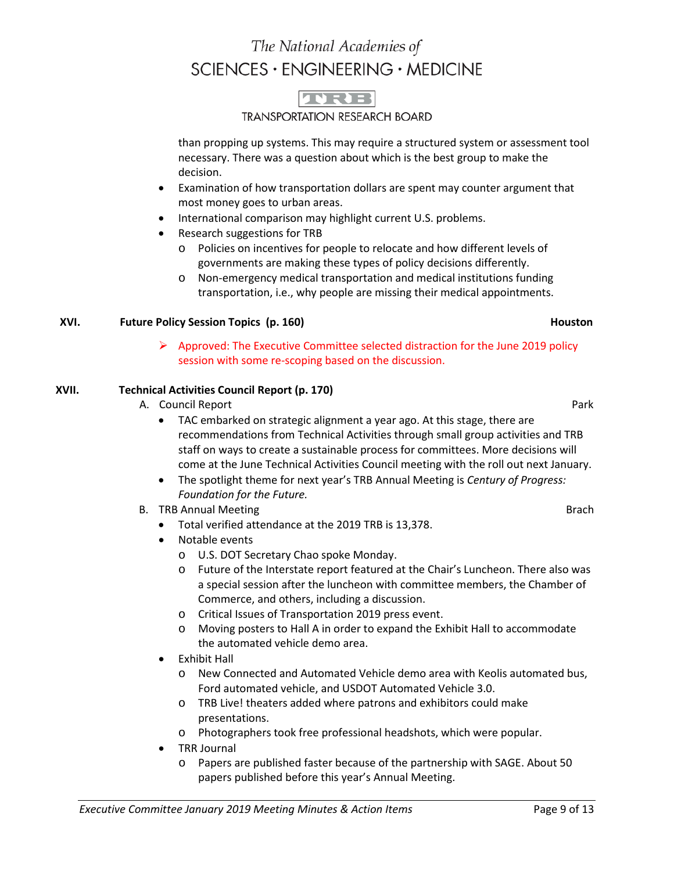

**TRANSPORTATION RESEARCH BOARD** 

than propping up systems. This may require a structured system or assessment tool necessary. There was a question about which is the best group to make the decision.

- Examination of how transportation dollars are spent may counter argument that most money goes to urban areas.
- International comparison may highlight current U.S. problems.
- Research suggestions for TRB
	- o Policies on incentives for people to relocate and how different levels of governments are making these types of policy decisions differently.
	- o Non-emergency medical transportation and medical institutions funding transportation, i.e., why people are missing their medical appointments.

### **XVI. Future Policy Session Topics (p. 160) Houston**

### $\triangleright$  Approved: The Executive Committee selected distraction for the June 2019 policy session with some re-scoping based on the discussion.

### **XVII. Technical Activities Council Report (p. 170)**

- A. Council Report **Park** 2004 **Park** 2004 **Park** 2004 **Park** 2004 **Park** 
	- TAC embarked on strategic alignment a year ago. At this stage, there are recommendations from Technical Activities through small group activities and TRB staff on ways to create a sustainable process for committees. More decisions will come at the June Technical Activities Council meeting with the roll out next January.
	- The spotlight theme for next year's TRB Annual Meeting is *Century of Progress: Foundation for the Future.*
- B. TRB Annual Meeting Brach Brach Brach Brach Brach Brach Brach Brach Brach Brach Brach Brach Brach Brach Brach
	- Total verified attendance at the 2019 TRB is 13,378.
	- Notable events
		- o U.S. DOT Secretary Chao spoke Monday.
		- o Future of the Interstate report featured at the Chair's Luncheon. There also was a special session after the luncheon with committee members, the Chamber of Commerce, and others, including a discussion.
		- o Critical Issues of Transportation 2019 press event.
		- o Moving posters to Hall A in order to expand the Exhibit Hall to accommodate the automated vehicle demo area.
	- Exhibit Hall
		- o New Connected and Automated Vehicle demo area with Keolis automated bus, Ford automated vehicle, and USDOT Automated Vehicle 3.0.
		- o TRB Live! theaters added where patrons and exhibitors could make presentations.
		- o Photographers took free professional headshots, which were popular.
	- TRR Journal
		- o Papers are published faster because of the partnership with SAGE. About 50 papers published before this year's Annual Meeting.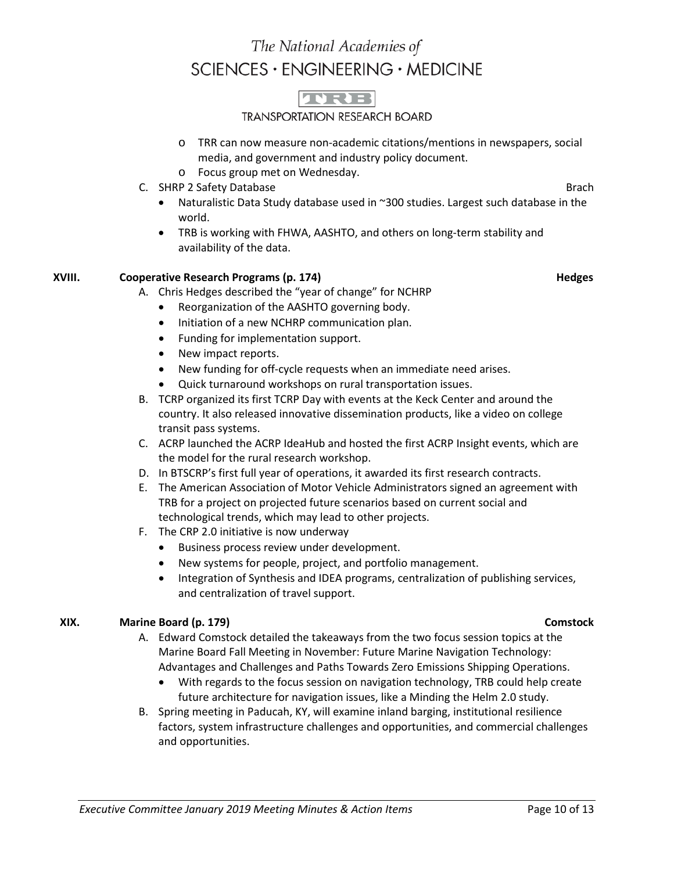## TVRTER

#### **TRANSPORTATION RESEARCH BOARD**

- o TRR can now measure non-academic citations/mentions in newspapers, social media, and government and industry policy document.
- o Focus group met on Wednesday.
- C. SHRP 2 Safety Database Brach Brach Brach Brach Brach Brach Brach Brach Brach Brach Brach Brach Brach Brach Brach Brach Brach Brach Brach Brach Brach Brach Brach Brach Brach Brach Brach Brach Brach Brach Brach Brach Brac
	- Naturalistic Data Study database used in ~300 studies. Largest such database in the world.
	- TRB is working with FHWA, AASHTO, and others on long-term stability and availability of the data.

### **XVIII.** Cooperative Research Programs (p. 174) **Hedges Henry Henry Henry Henry Henry Henry Henry Henry Henry Henry Henry Henry Henry Henry Henry Henry Henry Henry Henry Henry Henry Henry Henry Henry Henry Henry Henry He**

- A. Chris Hedges described the "year of change" for NCHRP
	- Reorganization of the AASHTO governing body.
	- Initiation of a new NCHRP communication plan.
	- Funding for implementation support.
	- New impact reports.
	- New funding for off-cycle requests when an immediate need arises.
	- Quick turnaround workshops on rural transportation issues.
- B. TCRP organized its first TCRP Day with events at the Keck Center and around the country. It also released innovative dissemination products, like a video on college transit pass systems.
- C. ACRP launched the ACRP IdeaHub and hosted the first ACRP Insight events, which are the model for the rural research workshop.
- D. In BTSCRP's first full year of operations, it awarded its first research contracts.
- E. The American Association of Motor Vehicle Administrators signed an agreement with TRB for a project on projected future scenarios based on current social and technological trends, which may lead to other projects.
- F. The CRP 2.0 initiative is now underway
	- Business process review under development.
	- New systems for people, project, and portfolio management.
	- Integration of Synthesis and IDEA programs, centralization of publishing services, and centralization of travel support.

### **XIX. Marine Board (p. 179) Comstock**

- A. Edward Comstock detailed the takeaways from the two focus session topics at the Marine Board Fall Meeting in November: Future Marine Navigation Technology: Advantages and Challenges and Paths Towards Zero Emissions Shipping Operations.
	- With regards to the focus session on navigation technology, TRB could help create future architecture for navigation issues, like a Minding the Helm 2.0 study.
- B. Spring meeting in Paducah, KY, will examine inland barging, institutional resilience factors, system infrastructure challenges and opportunities, and commercial challenges and opportunities.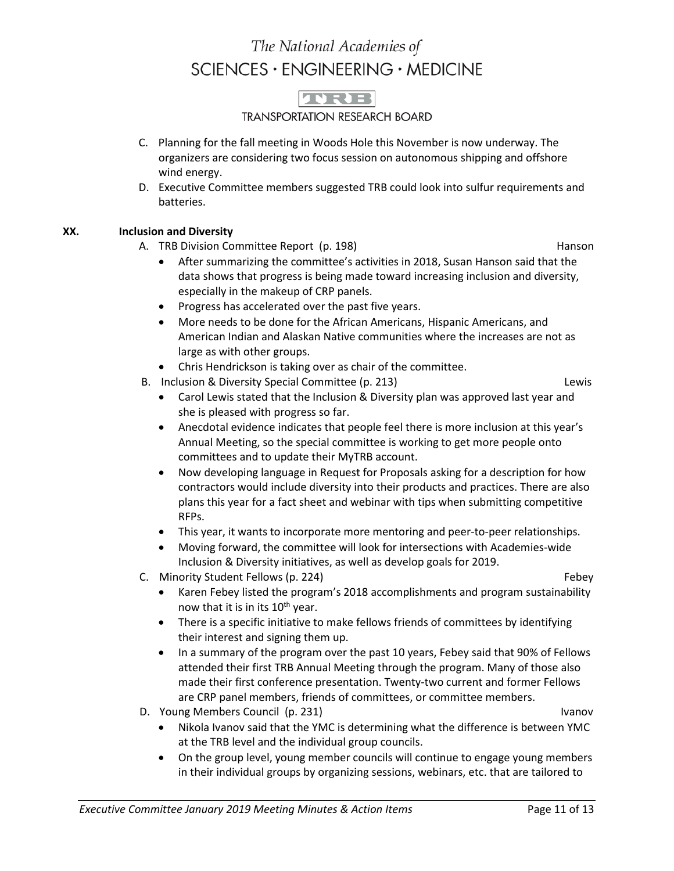

**TRANSPORTATION RESEARCH BOARD** 

- C. Planning for the fall meeting in Woods Hole this November is now underway. The organizers are considering two focus session on autonomous shipping and offshore wind energy.
- D. Executive Committee members suggested TRB could look into sulfur requirements and batteries.

### **XX. Inclusion and Diversity**

- A. TRB Division Committee Report (p. 198) Hanson
	- After summarizing the committee's activities in 2018, Susan Hanson said that the data shows that progress is being made toward increasing inclusion and diversity, especially in the makeup of CRP panels.
	- Progress has accelerated over the past five years.
	- More needs to be done for the African Americans, Hispanic Americans, and American Indian and Alaskan Native communities where the increases are not as large as with other groups.
	- Chris Hendrickson is taking over as chair of the committee.
- B. Inclusion & Diversity Special Committee (p. 213) Lewis

- Carol Lewis stated that the Inclusion & Diversity plan was approved last year and she is pleased with progress so far.
- Anecdotal evidence indicates that people feel there is more inclusion at this year's Annual Meeting, so the special committee is working to get more people onto committees and to update their MyTRB account.
- Now developing language in Request for Proposals asking for a description for how contractors would include diversity into their products and practices. There are also plans this year for a fact sheet and webinar with tips when submitting competitive RFPs.
- This year, it wants to incorporate more mentoring and peer-to-peer relationships.
- Moving forward, the committee will look for intersections with Academies-wide Inclusion & Diversity initiatives, as well as develop goals for 2019.
- C. Minority Student Fellows (p. 224) C. C. Minority Student Fellows (p. 224)
	-
	- Karen Febey listed the program's 2018 accomplishments and program sustainability now that it is in its  $10^{th}$  year.
	- There is a specific initiative to make fellows friends of committees by identifying their interest and signing them up.
	- In a summary of the program over the past 10 years, Febey said that 90% of Fellows attended their first TRB Annual Meeting through the program. Many of those also made their first conference presentation. Twenty-two current and former Fellows are CRP panel members, friends of committees, or committee members.
- D. Young Members Council (p. 231) Ivanov
	-
	- Nikola Ivanov said that the YMC is determining what the difference is between YMC at the TRB level and the individual group councils.
	- On the group level, young member councils will continue to engage young members in their individual groups by organizing sessions, webinars, etc. that are tailored to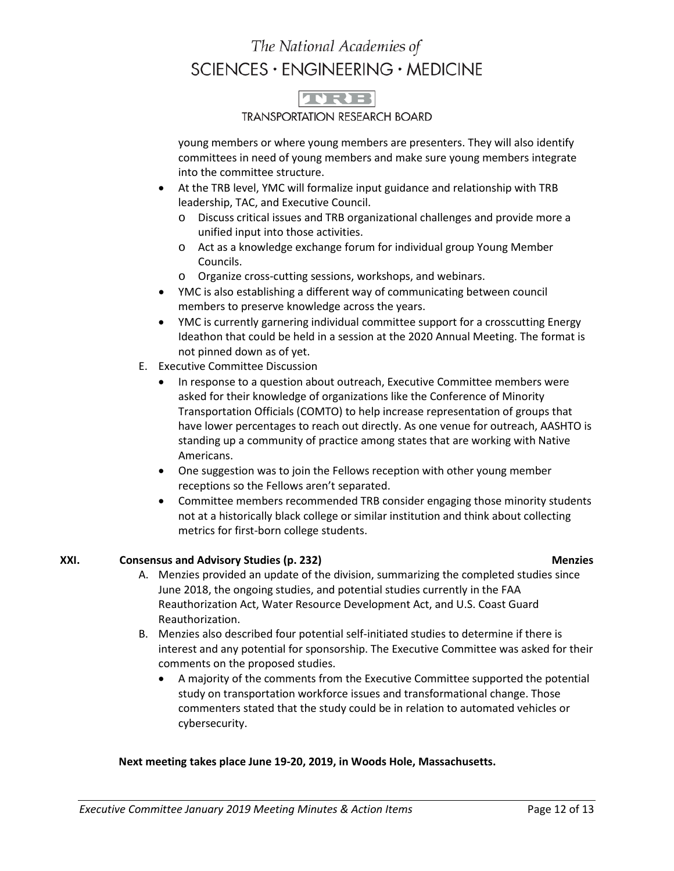

#### **TRANSPORTATION RESEARCH BOARD**

young members or where young members are presenters. They will also identify committees in need of young members and make sure young members integrate into the committee structure.

- At the TRB level, YMC will formalize input guidance and relationship with TRB leadership, TAC, and Executive Council.
	- o Discuss critical issues and TRB organizational challenges and provide more a unified input into those activities.
	- o Act as a knowledge exchange forum for individual group Young Member Councils.
	- o Organize cross-cutting sessions, workshops, and webinars.
- YMC is also establishing a different way of communicating between council members to preserve knowledge across the years.
- YMC is currently garnering individual committee support for a crosscutting Energy Ideathon that could be held in a session at the 2020 Annual Meeting. The format is not pinned down as of yet.
- E. Executive Committee Discussion
	- In response to a question about outreach, Executive Committee members were asked for their knowledge of organizations like the Conference of Minority Transportation Officials (COMTO) to help increase representation of groups that have lower percentages to reach out directly. As one venue for outreach, AASHTO is standing up a community of practice among states that are working with Native Americans.
	- One suggestion was to join the Fellows reception with other young member receptions so the Fellows aren't separated.
	- Committee members recommended TRB consider engaging those minority students not at a historically black college or similar institution and think about collecting metrics for first-born college students.

### **XXI. Consensus and Advisory Studies (p. 232) Menzies**

- A. Menzies provided an update of the division, summarizing the completed studies since June 2018, the ongoing studies, and potential studies currently in the FAA Reauthorization Act, Water Resource Development Act, and U.S. Coast Guard Reauthorization.
- B. Menzies also described four potential self-initiated studies to determine if there is interest and any potential for sponsorship. The Executive Committee was asked for their comments on the proposed studies.
	- A majority of the comments from the Executive Committee supported the potential study on transportation workforce issues and transformational change. Those commenters stated that the study could be in relation to automated vehicles or cybersecurity.

#### **Next meeting takes place June 19-20, 2019, in Woods Hole, Massachusetts.**